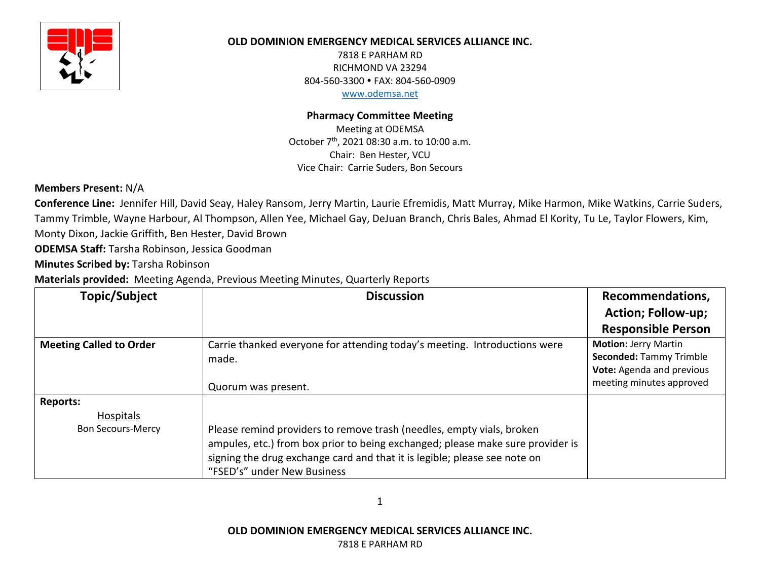

## **OLD DOMINION EMERGENCY MEDICAL SERVICES ALLIANCE INC.**

7818 E PARHAM RD RICHMOND VA 23294 804-560-3300 FAX: 804-560-0909 www.odemsa.net

## **Pharmacy Committee Meeting**

Meeting at ODEMSA October 7th, 2021 08:30 a.m. to 10:00 a.m. Chair: Ben Hester, VCU Vice Chair: Carrie Suders, Bon Secours

# **Members Present:** N/A

**Conference Line:** Jennifer Hill, David Seay, Haley Ransom, Jerry Martin, Laurie Efremidis, Matt Murray, Mike Harmon, Mike Watkins, Carrie Suders, Tammy Trimble, Wayne Harbour, Al Thompson, Allen Yee, Michael Gay, DeJuan Branch, Chris Bales, Ahmad El Kority, Tu Le, Taylor Flowers, Kim, Monty Dixon, Jackie Griffith, Ben Hester, David Brown

**ODEMSA Staff:** Tarsha Robinson, Jessica Goodman

**Minutes Scribed by:** Tarsha Robinson

**Materials provided:** Meeting Agenda, Previous Meeting Minutes, Quarterly Reports

| Topic/Subject                  | <b>Discussion</b>                                                                                                                                                                                                                                                   | Recommendations,               |
|--------------------------------|---------------------------------------------------------------------------------------------------------------------------------------------------------------------------------------------------------------------------------------------------------------------|--------------------------------|
|                                |                                                                                                                                                                                                                                                                     | <b>Action; Follow-up;</b>      |
|                                |                                                                                                                                                                                                                                                                     | <b>Responsible Person</b>      |
| <b>Meeting Called to Order</b> | Carrie thanked everyone for attending today's meeting. Introductions were                                                                                                                                                                                           | <b>Motion: Jerry Martin</b>    |
|                                | made.                                                                                                                                                                                                                                                               | <b>Seconded: Tammy Trimble</b> |
|                                |                                                                                                                                                                                                                                                                     | Vote: Agenda and previous      |
|                                | Quorum was present.                                                                                                                                                                                                                                                 | meeting minutes approved       |
| <b>Reports:</b>                |                                                                                                                                                                                                                                                                     |                                |
| <b>Hospitals</b>               |                                                                                                                                                                                                                                                                     |                                |
| <b>Bon Secours-Mercy</b>       | Please remind providers to remove trash (needles, empty vials, broken<br>ampules, etc.) from box prior to being exchanged; please make sure provider is<br>signing the drug exchange card and that it is legible; please see note on<br>"FSED's" under New Business |                                |

1

**OLD DOMINION EMERGENCY MEDICAL SERVICES ALLIANCE INC.**

7818 E PARHAM RD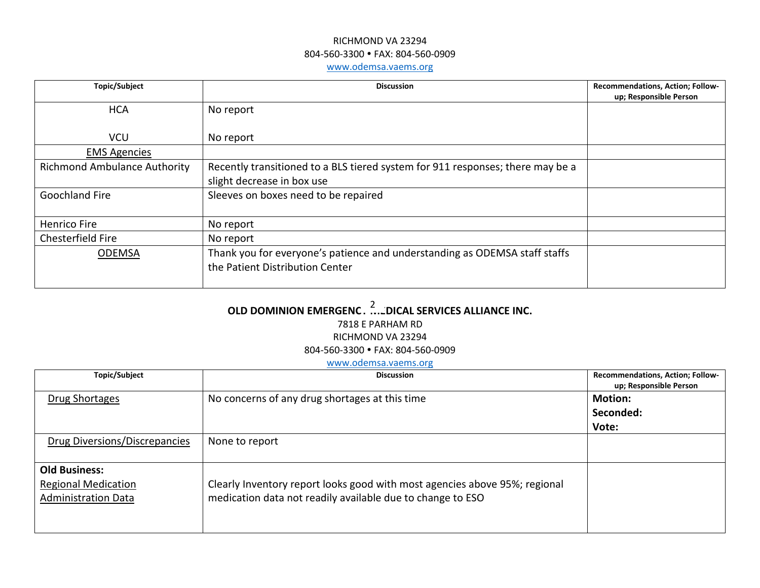## RICHMOND VA 23294 804-560-3300 FAX: 804-560-0909 www.odemsa.vaems.org

| Topic/Subject                       | <b>Discussion</b>                                                              | Recommendations, Action; Follow- |
|-------------------------------------|--------------------------------------------------------------------------------|----------------------------------|
|                                     |                                                                                | up; Responsible Person           |
| <b>HCA</b>                          | No report                                                                      |                                  |
|                                     |                                                                                |                                  |
| <b>VCU</b>                          | No report                                                                      |                                  |
| <b>EMS Agencies</b>                 |                                                                                |                                  |
| <b>Richmond Ambulance Authority</b> | Recently transitioned to a BLS tiered system for 911 responses; there may be a |                                  |
|                                     | slight decrease in box use                                                     |                                  |
| <b>Goochland Fire</b>               | Sleeves on boxes need to be repaired                                           |                                  |
|                                     |                                                                                |                                  |
| Henrico Fire                        | No report                                                                      |                                  |
| Chesterfield Fire                   | No report                                                                      |                                  |
| <b>ODEMSA</b>                       | Thank you for everyone's patience and understanding as ODEMSA staff staffs     |                                  |
|                                     | the Patient Distribution Center                                                |                                  |
|                                     |                                                                                |                                  |

# OLD DOMINION EMERGENC..<sup>2</sup>...:DICAL SERVICES ALLIANCE INC.

## 7818 E PARHAM RD

#### RICHMOND VA 23294

804-560-3300 FAX: 804-560-0909

## www.odemsa.vaems.org

| Topic/Subject                 | <b>Discussion</b>                                                          | <b>Recommendations, Action; Follow-</b><br>up; Responsible Person |
|-------------------------------|----------------------------------------------------------------------------|-------------------------------------------------------------------|
| Drug Shortages                | No concerns of any drug shortages at this time                             | <b>Motion:</b>                                                    |
|                               |                                                                            | Seconded:                                                         |
|                               |                                                                            | Vote:                                                             |
| Drug Diversions/Discrepancies | None to report                                                             |                                                                   |
| <b>Old Business:</b>          |                                                                            |                                                                   |
| <b>Regional Medication</b>    | Clearly Inventory report looks good with most agencies above 95%; regional |                                                                   |
| <b>Administration Data</b>    | medication data not readily available due to change to ESO                 |                                                                   |
|                               |                                                                            |                                                                   |
|                               |                                                                            |                                                                   |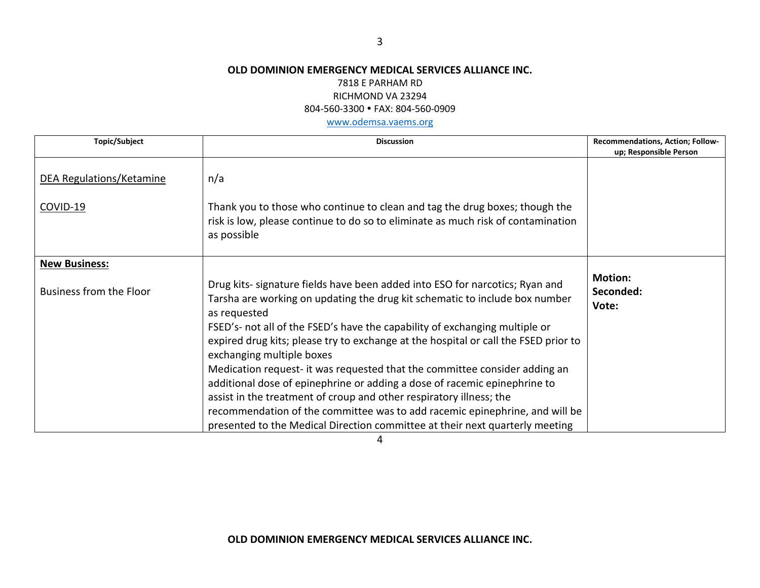## **OLD DOMINION EMERGENCY MEDICAL SERVICES ALLIANCE INC.**

### 7818 E PARHAM RD

## RICHMOND VA 23294

804-560-3300 FAX: 804-560-0909

www.odemsa.vaems.org

| <b>Topic/Subject</b>           | <b>Discussion</b>                                                                                                                                                                                                                  | Recommendations, Action; Follow-     |
|--------------------------------|------------------------------------------------------------------------------------------------------------------------------------------------------------------------------------------------------------------------------------|--------------------------------------|
|                                |                                                                                                                                                                                                                                    | up; Responsible Person               |
| DEA Regulations/Ketamine       | n/a                                                                                                                                                                                                                                |                                      |
| COVID-19                       | Thank you to those who continue to clean and tag the drug boxes; though the<br>risk is low, please continue to do so to eliminate as much risk of contamination<br>as possible                                                     |                                      |
| <b>New Business:</b>           |                                                                                                                                                                                                                                    |                                      |
| <b>Business from the Floor</b> | Drug kits- signature fields have been added into ESO for narcotics; Ryan and<br>Tarsha are working on updating the drug kit schematic to include box number<br>as requested                                                        | <b>Motion:</b><br>Seconded:<br>Vote: |
|                                | FSED's- not all of the FSED's have the capability of exchanging multiple or<br>expired drug kits; please try to exchange at the hospital or call the FSED prior to<br>exchanging multiple boxes                                    |                                      |
|                                | Medication request- it was requested that the committee consider adding an<br>additional dose of epinephrine or adding a dose of racemic epinephrine to                                                                            |                                      |
|                                | assist in the treatment of croup and other respiratory illness; the<br>recommendation of the committee was to add racemic epinephrine, and will be<br>presented to the Medical Direction committee at their next quarterly meeting |                                      |

4

**OLD DOMINION EMERGENCY MEDICAL SERVICES ALLIANCE INC.**